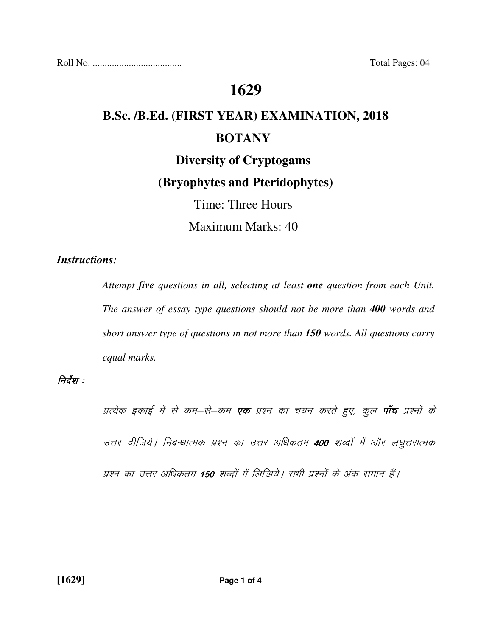Roll No. ..................................... Total Pages: 04

## **1629**

# **B.Sc. /B.Ed. (FIRST YEAR) EXAMINATION, 2018 BOTANY Diversity of Cryptogams**

## **(Bryophytes and Pteridophytes)**

Time: Three Hours

Maximum Marks: 40

#### *Instructions:*

 *Attempt five questions in all, selecting at least one question from each Unit. The answer of essay type questions should not be more than 400 words and short answer type of questions in not more than 150 words. All questions carry equal marks.* 

#### निर्देश :

प्रत्येक इकाई में से कम–से–कम **एक** प्रश्न का चयन करते हुए, कुल **पाँच** प्रश्नों के उत्तर दीजिये | निबन्धात्मक प्रश्न का उत्तर अधिकतम 400 शब्दों में और लघुत्तरात्मक प्रश्न का उत्तर अधिकतम 150 शब्दों में लिखिये। सभी प्रश्नों के अंक समान हैं।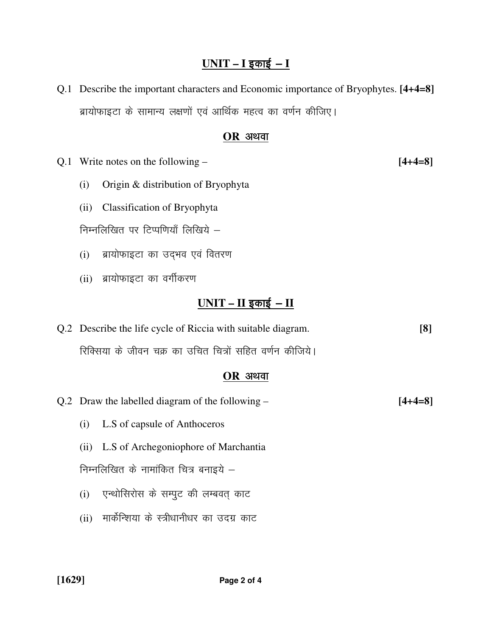#### <u>UNIT – I इकाई – I</u>

Q.1 Describe the important characters and Economic importance of Bryophytes. **[4+4=8]**  ब्रायोफाइटा के सामान्य लक्षणों एवं आर्थिक महत्व का वर्णन कीजिए।

#### **OR** अथवा

Q.1 Write notes on the following – **[4+4=8]** 

- (i) Origin & distribution of Bryophyta
- (ii) Classification of Bryophyta

निम्नलिखित पर टिप्पणियाँ लिखिये  $-$ 

- (i) ब्रायोफाइटा का उद्भव एवं वितरण
- (ii) ब्रायोफाइटा का वर्गीकरण

### $UNIT - II$  इकाई - II

Q.2 Describe the life cycle of Riccia with suitable diagram. **[8]**  रिक्सिया के जीवन चक्र का उचित चित्रों सहित वर्णन कीजिये।

#### **OR अथवा**

- Q.2 Draw the labelled diagram of the following **[4+4=8]** 
	- (i) L.S of capsule of Anthoceros
	- (ii) L.S of Archegoniophore of Marchantia

निम्नलिखित के नामांकित चित्र बनाइये  $-$ 

- (i) एन्थोसिरोस के सम्पुट की लम्बवत् काट
- (ii) मार्केन्शिया के स्त्रीधानीधर का उदग्र काट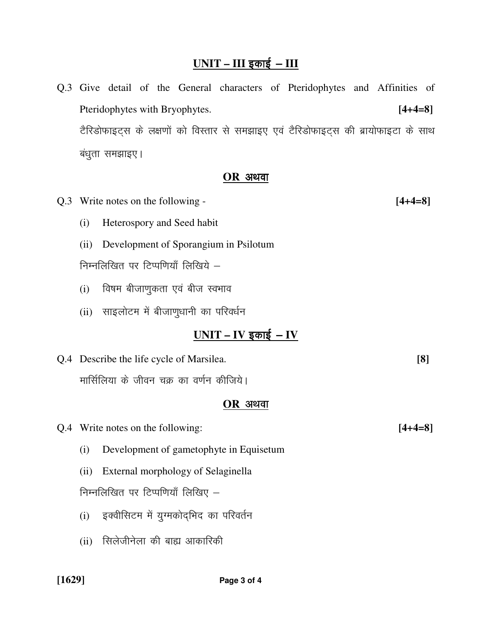## <u>UNIT – III इकाई – III</u>

Q.3 Give detail of the General characters of Pteridophytes and Affinities of Pteridophytes with Bryophytes. **[4+4=8]**  टैरिडोफाइट्स के लक्षणों को विस्तार से समझाइए एवं टैरिडोफाइट्स की ब्रायोफाइटा के साथ बंधुता समझाइए।

#### $OR$  अथवा

- Q.3 Write notes on the following **[4+4=8]**  (i) Heterospory and Seed habit (ii) Development of Sporangium in Psilotum निम्नलिखित पर टिप्पणियाँ लिखिये  $-$ 
	- $(i)$  विषम बीजाणुकता एवं बीज स्वभाव
	- (ii) साइलोटम में बीजाणुधानी का परिवर्धन

## <u>UNIT – IV इकाई – IV</u>

Q.4 Describe the life cycle of Marsilea. **[8]**  मार्सिलिया के जीवन चक्र का वर्णन कीजिये।

#### $OR$  अथवा

Q.4 Write notes on the following: **[4+4=8]** 

- (i) Development of gametophyte in Equisetum
- (ii) External morphology of Selaginella

निम्नलिखित पर टिप्पणियाँ लिखिए  $-$ 

- (i) इक्वीसिटम में यूग्मकोदभिद का परिवर्तन
- (ii) सिलेजीनेला की बाह्य आकारिकी